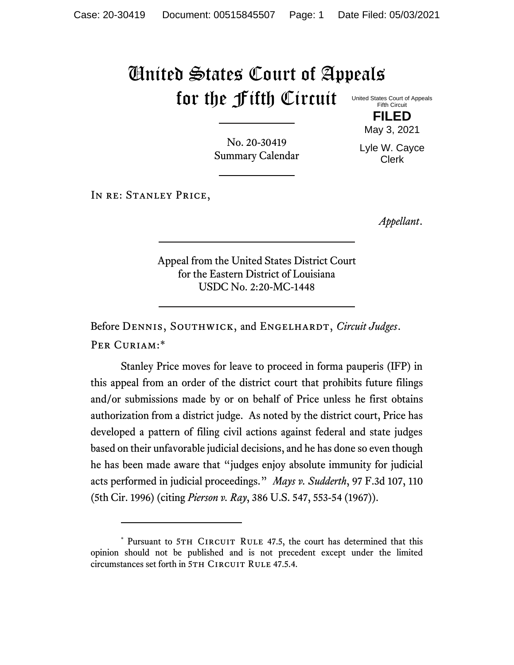## United States Court of Appeals for the Fifth Circuit

United States Court of Appeals Fifth Circuit **FILED**

No. 20-30419 Summary Calendar

Lyle W. Cayce Clerk

May 3, 2021

IN RE: STANLEY PRICE,

*Appellant*.

Appeal from the United States District Court for the Eastern District of Louisiana USDC No. 2:20-MC-1448

Before DENNIS, SOUTHWICK, and ENGELHARDT, *Circuit Judges*. Per Curiam:\*

Stanley Price moves for leave to proceed in forma pauperis (IFP) in this appeal from an order of the district court that prohibits future filings and/or submissions made by or on behalf of Price unless he first obtains authorization from a district judge. As noted by the district court, Price has developed a pattern of filing civil actions against federal and state judges based on their unfavorable judicial decisions, and he has done so even though he has been made aware that "judges enjoy absolute immunity for judicial acts performed in judicial proceedings." *Mays v. Sudderth*, 97 F.3d 107, 110 (5th Cir. 1996) (citing *Pierson v. Ray*, 386 U.S. 547, 553-54 (1967)).

<sup>\*</sup> Pursuant to 5TH CIRCUIT RULE 47.5, the court has determined that this opinion should not be published and is not precedent except under the limited circumstances set forth in 5TH CIRCUIT RULE 47.5.4.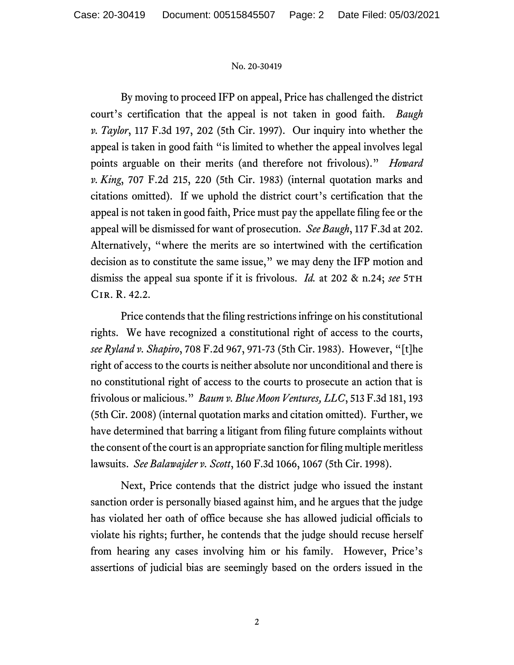## No. 20-30419

By moving to proceed IFP on appeal, Price has challenged the district court's certification that the appeal is not taken in good faith. *Baugh v. Taylor*, 117 F.3d 197, 202 (5th Cir. 1997). Our inquiry into whether the appeal is taken in good faith "is limited to whether the appeal involves legal points arguable on their merits (and therefore not frivolous)." *Howard v. King*, 707 F.2d 215, 220 (5th Cir. 1983) (internal quotation marks and citations omitted). If we uphold the district court's certification that the appeal is not taken in good faith, Price must pay the appellate filing fee or the appeal will be dismissed for want of prosecution. *See Baugh*, 117 F.3d at 202. Alternatively, "where the merits are so intertwined with the certification decision as to constitute the same issue," we may deny the IFP motion and dismiss the appeal sua sponte if it is frivolous. *Id.* at 202 & n.24; see 5TH Cir. R. 42.2.

Price contends that the filing restrictions infringe on his constitutional rights. We have recognized a constitutional right of access to the courts, *see Ryland v. Shapiro*, 708 F.2d 967, 971-73 (5th Cir. 1983). However, "[t]he right of access to the courts is neither absolute nor unconditional and there is no constitutional right of access to the courts to prosecute an action that is frivolous or malicious." *Baum v. Blue Moon Ventures, LLC*, 513 F.3d 181, 193 (5th Cir. 2008) (internal quotation marks and citation omitted). Further, we have determined that barring a litigant from filing future complaints without the consent of the court is an appropriate sanction for filing multiple meritless lawsuits. *See Balawajder v. Scott*, 160 F.3d 1066, 1067 (5th Cir. 1998).

Next, Price contends that the district judge who issued the instant sanction order is personally biased against him, and he argues that the judge has violated her oath of office because she has allowed judicial officials to violate his rights; further, he contends that the judge should recuse herself from hearing any cases involving him or his family. However, Price's assertions of judicial bias are seemingly based on the orders issued in the